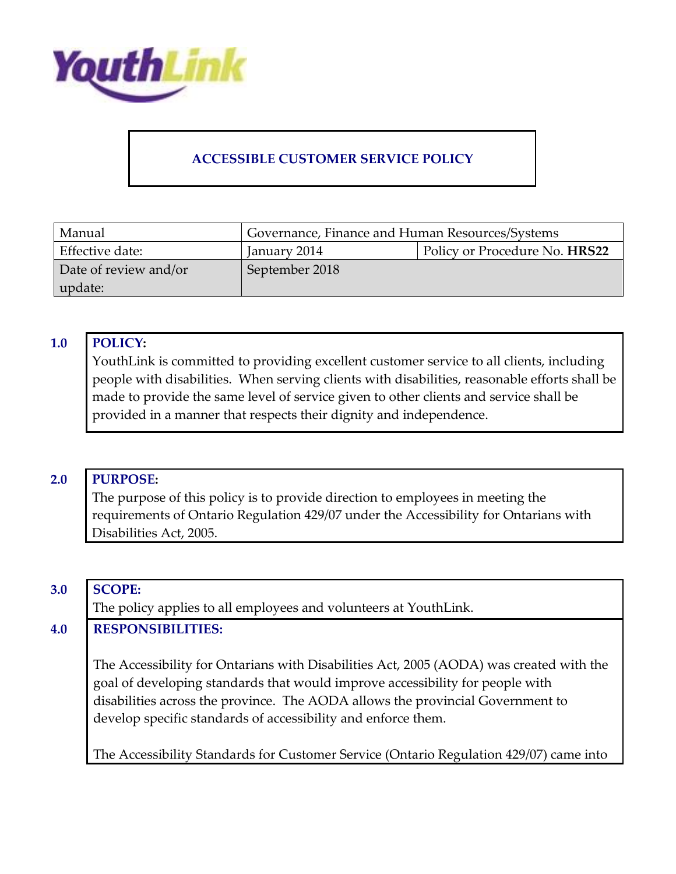

# **ACCESSIBLE CUSTOMER SERVICE POLICY**

| Manual                | Governance, Finance and Human Resources/Systems |                               |
|-----------------------|-------------------------------------------------|-------------------------------|
| Effective date:       | January 2014                                    | Policy or Procedure No. HRS22 |
| Date of review and/or | September 2018                                  |                               |
| update:               |                                                 |                               |

#### **1.0 POLICY:**

YouthLink is committed to providing excellent customer service to all clients, including people with disabilities. When serving clients with disabilities, reasonable efforts shall be made to provide the same level of service given to other clients and service shall be provided in a manner that respects their dignity and independence.

#### **2.0 PURPOSE:**

The purpose of this policy is to provide direction to employees in meeting the requirements of Ontario Regulation 429/07 under the Accessibility for Ontarians with Disabilities Act, 2005.

#### **3.0 SCOPE:**

The policy applies to all employees and volunteers at YouthLink.

#### **4.0 RESPONSIBILITIES:**

The Accessibility for Ontarians with Disabilities Act, 2005 (AODA) was created with the goal of developing standards that would improve accessibility for people with disabilities across the province. The AODA allows the provincial Government to develop specific standards of accessibility and enforce them.

The Accessibility Standards for Customer Service (Ontario Regulation 429/07) came into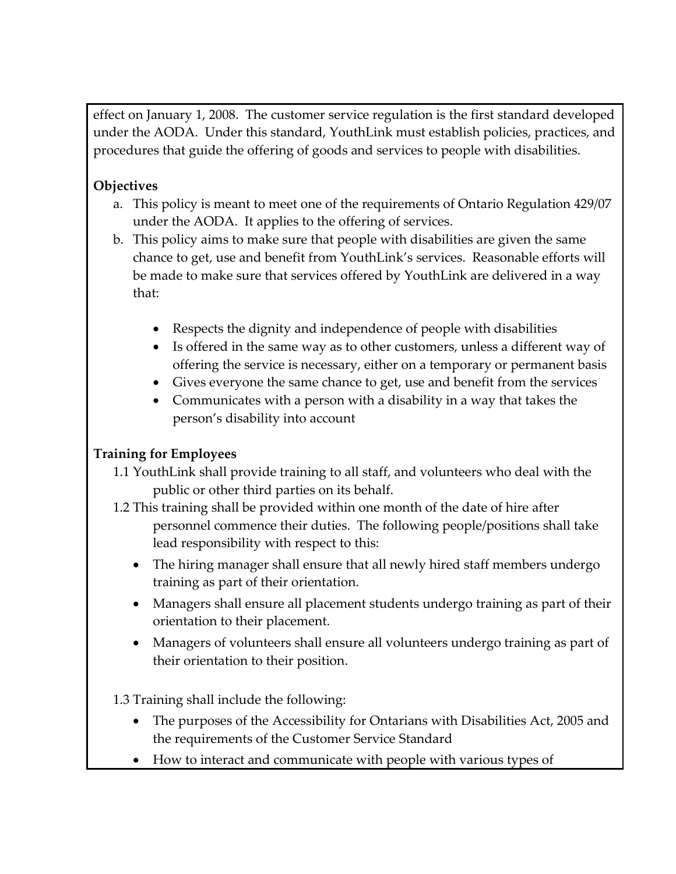effect on January 1, 2008. The customer service regulation is the first standard developed under the AODA. Under this standard, YouthLink must establish policies, practices, and procedures that guide the offering of goods and services to people with disabilities.

# **Objectives**

- a. This policy is meant to meet one of the requirements of Ontario Regulation 429/07 under the AODA. It applies to the offering of services.
- b. This policy aims to make sure that people with disabilities are given the same chance to get, use and benefit from YouthLink's services. Reasonable efforts will be made to make sure that services offered by YouthLink are delivered in a way that:
	- Respects the dignity and independence of people with disabilities
	- Is offered in the same way as to other customers, unless a different way of offering the service is necessary, either on a temporary or permanent basis
	- Gives everyone the same chance to get, use and benefit from the services
	- Communicates with a person with a disability in a way that takes the person's disability into account

# **Training for Employees**

- 1.1 YouthLink shall provide training to all staff, and volunteers who deal with the public or other third parties on its behalf.
- 1.2 This training shall be provided within one month of the date of hire after personnel commence their duties. The following people/positions shall take lead responsibility with respect to this:
	- The hiring manager shall ensure that all newly hired staff members undergo training as part of their orientation.
	- Managers shall ensure all placement students undergo training as part of their orientation to their placement.
	- Managers of volunteers shall ensure all volunteers undergo training as part of their orientation to their position.

1.3 Training shall include the following:

- The purposes of the Accessibility for Ontarians with Disabilities Act, 2005 and the requirements of the Customer Service Standard
- How to interact and communicate with people with various types of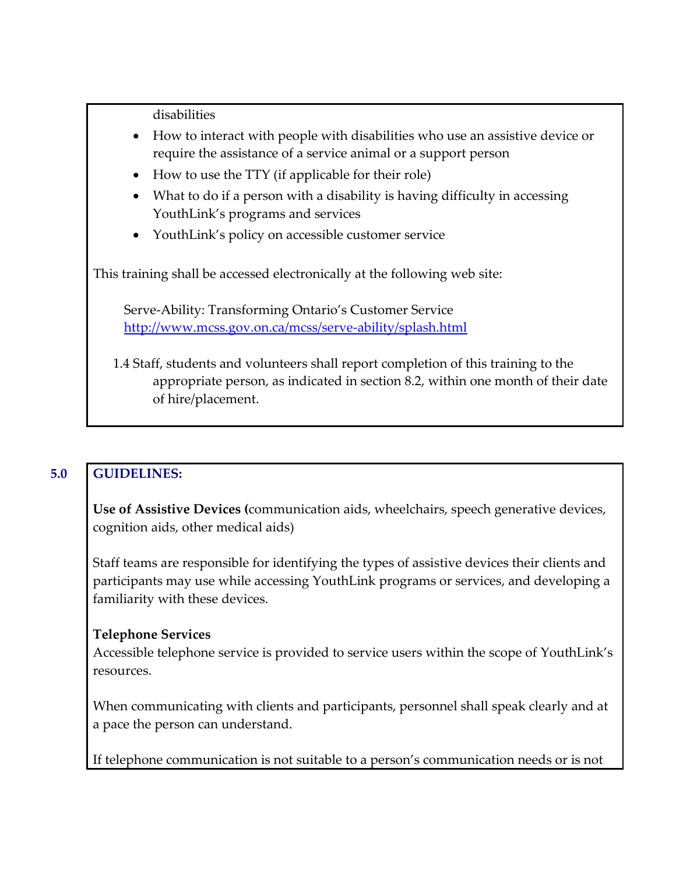disabilities

- How to interact with people with disabilities who use an assistive device or require the assistance of a service animal or a support person
- How to use the TTY (if applicable for their role)
- What to do if a person with a disability is having difficulty in accessing YouthLink's programs and services
- YouthLink's policy on accessible customer service

This training shall be accessed electronically at the following web site:

Serve-Ability: Transforming Ontario's Customer Service <http://www.mcss.gov.on.ca/mcss/serve-ability/splash.html>

1.4 Staff, students and volunteers shall report completion of this training to the appropriate person, as indicated in section 8.2, within one month of their date of hire/placement.

# **5.0 GUIDELINES:**

**Use of Assistive Devices (**communication aids, wheelchairs, speech generative devices, cognition aids, other medical aids)

Staff teams are responsible for identifying the types of assistive devices their clients and participants may use while accessing YouthLink programs or services, and developing a familiarity with these devices.

#### **Telephone Services**

Accessible telephone service is provided to service users within the scope of YouthLink's resources.

When communicating with clients and participants, personnel shall speak clearly and at a pace the person can understand.

If telephone communication is not suitable to a person's communication needs or is not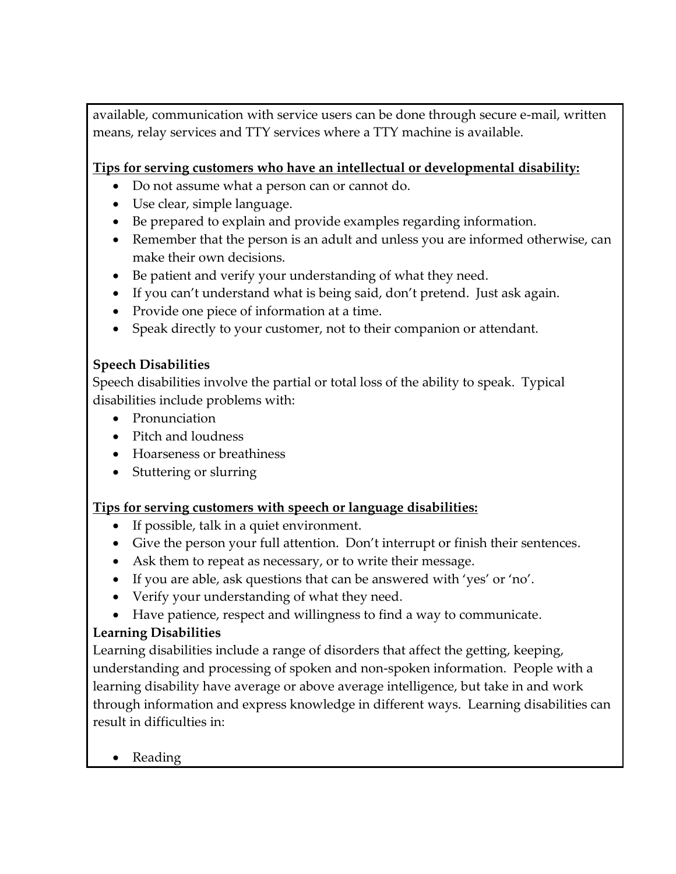available, communication with service users can be done through secure e-mail, written means, relay services and TTY services where a TTY machine is available.

# **Tips for serving customers who have an intellectual or developmental disability:**

- Do not assume what a person can or cannot do.
- Use clear, simple language.
- Be prepared to explain and provide examples regarding information.
- Remember that the person is an adult and unless you are informed otherwise, can make their own decisions.
- Be patient and verify your understanding of what they need.
- If you can't understand what is being said, don't pretend. Just ask again.
- Provide one piece of information at a time.
- Speak directly to your customer, not to their companion or attendant.

# **Speech Disabilities**

Speech disabilities involve the partial or total loss of the ability to speak. Typical disabilities include problems with:

- Pronunciation
- Pitch and loudness
- Hoarseness or breathiness
- Stuttering or slurring

# **Tips for serving customers with speech or language disabilities:**

- If possible, talk in a quiet environment.
- Give the person your full attention. Don't interrupt or finish their sentences.
- Ask them to repeat as necessary, or to write their message.
- If you are able, ask questions that can be answered with 'yes' or 'no'.
- Verify your understanding of what they need.
- Have patience, respect and willingness to find a way to communicate.

# **Learning Disabilities**

Learning disabilities include a range of disorders that affect the getting, keeping, understanding and processing of spoken and non-spoken information. People with a learning disability have average or above average intelligence, but take in and work through information and express knowledge in different ways. Learning disabilities can result in difficulties in:

• Reading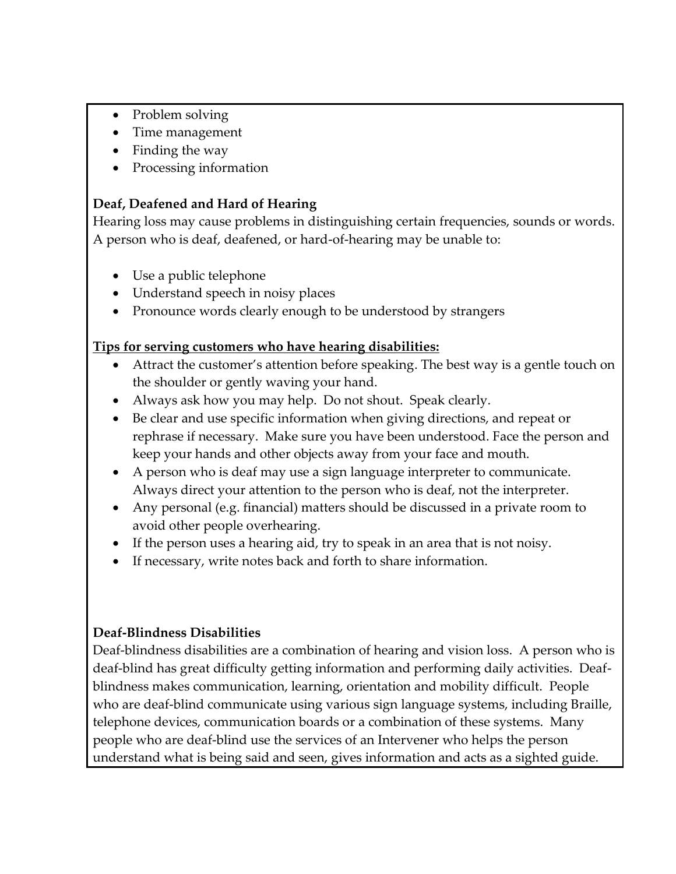- Problem solving
- Time management
- Finding the way
- Processing information

# **Deaf, Deafened and Hard of Hearing**

Hearing loss may cause problems in distinguishing certain frequencies, sounds or words. A person who is deaf, deafened, or hard-of-hearing may be unable to:

- Use a public telephone
- Understand speech in noisy places
- Pronounce words clearly enough to be understood by strangers

### **Tips for serving customers who have hearing disabilities:**

- Attract the customer's attention before speaking. The best way is a gentle touch on the shoulder or gently waving your hand.
- Always ask how you may help. Do not shout. Speak clearly.
- Be clear and use specific information when giving directions, and repeat or rephrase if necessary. Make sure you have been understood. Face the person and keep your hands and other objects away from your face and mouth.
- A person who is deaf may use a sign language interpreter to communicate. Always direct your attention to the person who is deaf, not the interpreter.
- Any personal (e.g. financial) matters should be discussed in a private room to avoid other people overhearing.
- If the person uses a hearing aid, try to speak in an area that is not noisy.
- If necessary, write notes back and forth to share information.

# **Deaf-Blindness Disabilities**

Deaf-blindness disabilities are a combination of hearing and vision loss. A person who is deaf-blind has great difficulty getting information and performing daily activities. Deafblindness makes communication, learning, orientation and mobility difficult. People who are deaf-blind communicate using various sign language systems, including Braille, telephone devices, communication boards or a combination of these systems. Many people who are deaf-blind use the services of an Intervener who helps the person understand what is being said and seen, gives information and acts as a sighted guide.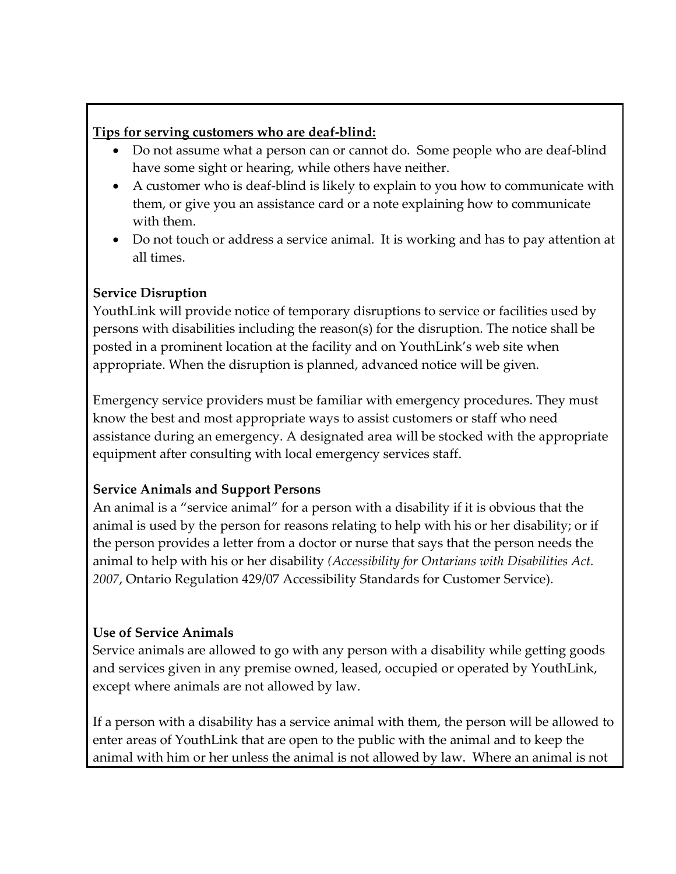#### **Tips for serving customers who are deaf-blind:**

- Do not assume what a person can or cannot do. Some people who are deaf-blind have some sight or hearing, while others have neither.
- A customer who is deaf-blind is likely to explain to you how to communicate with them, or give you an assistance card or a note explaining how to communicate with them.
- Do not touch or address a service animal. It is working and has to pay attention at all times.

# **Service Disruption**

YouthLink will provide notice of temporary disruptions to service or facilities used by persons with disabilities including the reason(s) for the disruption. The notice shall be posted in a prominent location at the facility and on YouthLink's web site when appropriate. When the disruption is planned, advanced notice will be given.

Emergency service providers must be familiar with emergency procedures. They must know the best and most appropriate ways to assist customers or staff who need assistance during an emergency. A designated area will be stocked with the appropriate equipment after consulting with local emergency services staff.

# **Service Animals and Support Persons**

An animal is a "service animal" for a person with a disability if it is obvious that the animal is used by the person for reasons relating to help with his or her disability; or if the person provides a letter from a doctor or nurse that says that the person needs the animal to help with his or her disability *(Accessibility for Ontarians with Disabilities Act. 2007*, Ontario Regulation 429/07 Accessibility Standards for Customer Service).

# **Use of Service Animals**

Service animals are allowed to go with any person with a disability while getting goods and services given in any premise owned, leased, occupied or operated by YouthLink, except where animals are not allowed by law.

If a person with a disability has a service animal with them, the person will be allowed to enter areas of YouthLink that are open to the public with the animal and to keep the animal with him or her unless the animal is not allowed by law. Where an animal is not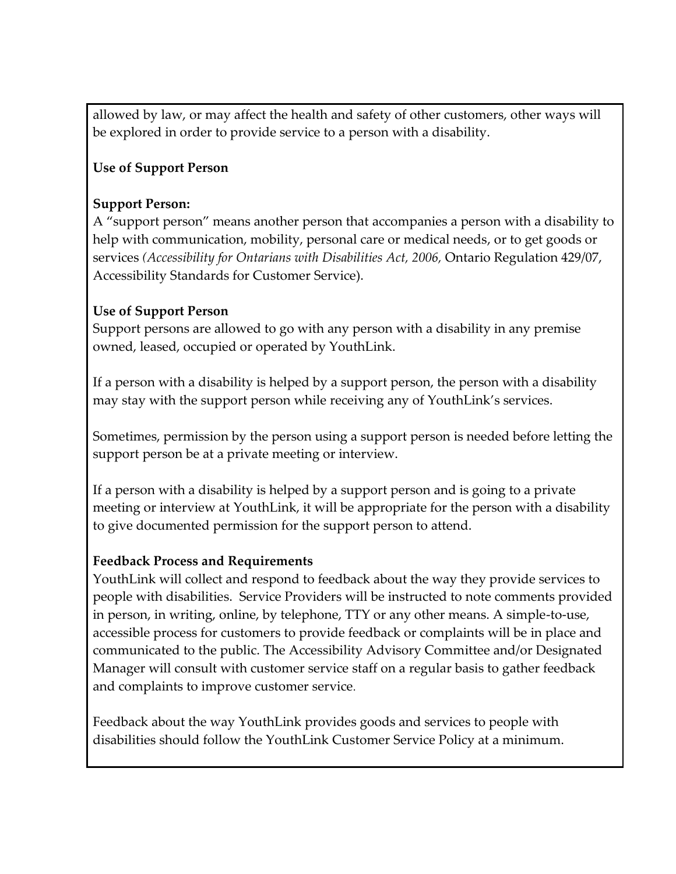allowed by law, or may affect the health and safety of other customers, other ways will be explored in order to provide service to a person with a disability.

### **Use of Support Person**

#### **Support Person:**

A "support person" means another person that accompanies a person with a disability to help with communication, mobility, personal care or medical needs, or to get goods or services *(Accessibility for Ontarians with Disabilities Act, 2006,* Ontario Regulation 429/07, Accessibility Standards for Customer Service).

#### **Use of Support Person**

Support persons are allowed to go with any person with a disability in any premise owned, leased, occupied or operated by YouthLink.

If a person with a disability is helped by a support person, the person with a disability may stay with the support person while receiving any of YouthLink's services.

Sometimes, permission by the person using a support person is needed before letting the support person be at a private meeting or interview.

If a person with a disability is helped by a support person and is going to a private meeting or interview at YouthLink, it will be appropriate for the person with a disability to give documented permission for the support person to attend.

#### **Feedback Process and Requirements**

YouthLink will collect and respond to feedback about the way they provide services to people with disabilities. Service Providers will be instructed to note comments provided in person, in writing, online, by telephone, TTY or any other means. A simple-to-use, accessible process for customers to provide feedback or complaints will be in place and communicated to the public. The Accessibility Advisory Committee and/or Designated Manager will consult with customer service staff on a regular basis to gather feedback and complaints to improve customer service.

Feedback about the way YouthLink provides goods and services to people with disabilities should follow the YouthLink Customer Service Policy at a minimum.